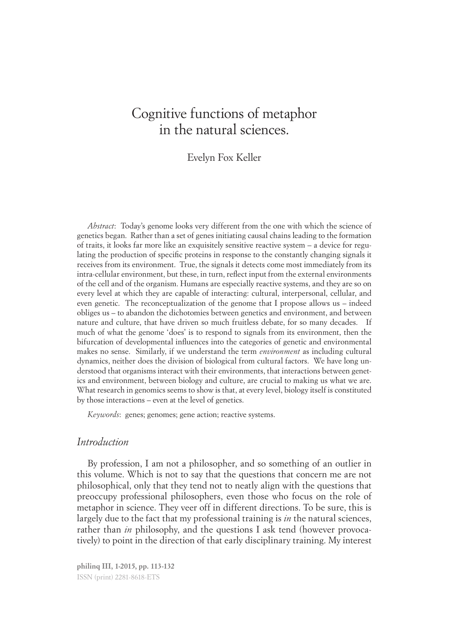# Cognitive functions of metaphor in the natural sciences.

### Evelyn Fox Keller

*Abstract*: Today's genome looks very different from the one with which the science of genetics began. Rather than a set of genes initiating causal chains leading to the formation of traits, it looks far more like an exquisitely sensitive reactive system – a device for regulating the production of specific proteins in response to the constantly changing signals it receives from its environment. True, the signals it detects come most immediately from its intra-cellular environment, but these, in turn, reflect input from the external environments of the cell and of the organism. Humans are especially reactive systems, and they are so on every level at which they are capable of interacting: cultural, interpersonal, cellular, and even genetic. The reconceptualization of the genome that I propose allows us – indeed obliges us – to abandon the dichotomies between genetics and environment, and between nature and culture, that have driven so much fruitless debate, for so many decades. If much of what the genome 'does' is to respond to signals from its environment, then the bifurcation of developmental influences into the categories of genetic and environmental makes no sense. Similarly, if we understand the term *environment* as including cultural dynamics, neither does the division of biological from cultural factors. We have long understood that organisms interact with their environments, that interactions between genetics and environment, between biology and culture, are crucial to making us what we are. What research in genomics seems to show is that, at every level, biology itself is constituted by those interactions – even at the level of genetics.

*Keywords*: genes; genomes; gene action; reactive systems.

## *Introduction*

By profession, I am not a philosopher, and so something of an outlier in this volume. Which is not to say that the questions that concern me are not philosophical, only that they tend not to neatly align with the questions that preoccupy professional philosophers, even those who focus on the role of metaphor in science. They veer off in different directions. To be sure, this is largely due to the fact that my professional training is *in* the natural sciences, rather than *in* philosophy, and the questions I ask tend (however provocatively) to point in the direction of that early disciplinary training. My interest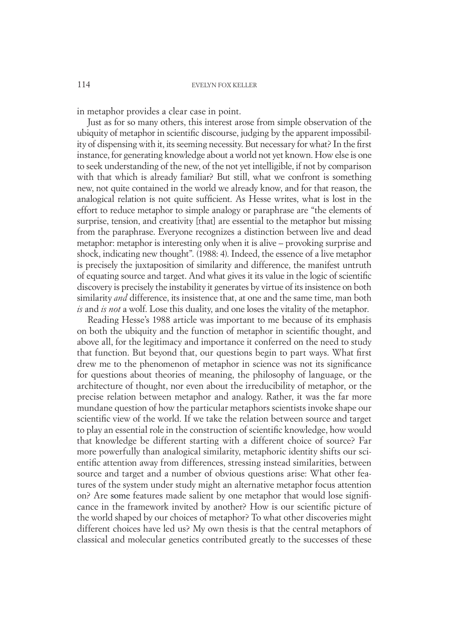in metaphor provides a clear case in point.

Just as for so many others, this interest arose from simple observation of the ubiquity of metaphor in scientific discourse, judging by the apparent impossibility of dispensing with it, its seeming necessity. But necessary for what? In the first instance, for generating knowledge about a world not yet known. How else is one to seek understanding of the new, of the not yet intelligible, if not by comparison with that which is already familiar? But still, what we confront is something new, not quite contained in the world we already know, and for that reason, the analogical relation is not quite sufficient. As Hesse writes, what is lost in the effort to reduce metaphor to simple analogy or paraphrase are "the elements of surprise, tension, and creativity [that] are essential to the metaphor but missing from the paraphrase. Everyone recognizes a distinction between live and dead metaphor: metaphor is interesting only when it is alive – provoking surprise and shock, indicating new thought". (1988: 4). Indeed, the essence of a live metaphor is precisely the juxtaposition of similarity and difference, the manifest untruth of equating source and target. And what gives it its value in the logic of scientific discovery is precisely the instability it generates by virtue of its insistence on both similarity *and* difference, its insistence that, at one and the same time, man both *is* and *is not* a wolf. Lose this duality, and one loses the vitality of the metaphor.

Reading Hesse's 1988 article was important to me because of its emphasis on both the ubiquity and the function of metaphor in scientific thought, and above all, for the legitimacy and importance it conferred on the need to study that function. But beyond that, our questions begin to part ways. What first drew me to the phenomenon of metaphor in science was not its significance for questions about theories of meaning, the philosophy of language, or the architecture of thought, nor even about the irreducibility of metaphor, or the precise relation between metaphor and analogy. Rather, it was the far more mundane question of how the particular metaphors scientists invoke shape our scientific view of the world. If we take the relation between source and target to play an essential role in the construction of scientific knowledge, how would that knowledge be different starting with a different choice of source? Far more powerfully than analogical similarity, metaphoric identity shifts our scientific attention away from differences, stressing instead similarities, between source and target and a number of obvious questions arise: What other features of the system under study might an alternative metaphor focus attention on? Are some features made salient by one metaphor that would lose significance in the framework invited by another? How is our scientific picture of the world shaped by our choices of metaphor? To what other discoveries might different choices have led us? My own thesis is that the central metaphors of classical and molecular genetics contributed greatly to the successes of these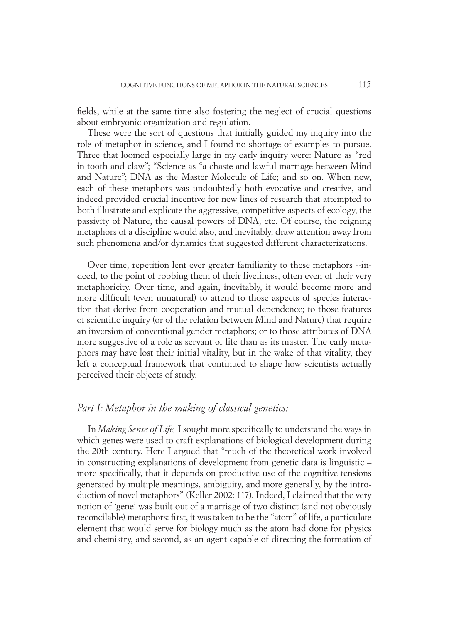fields, while at the same time also fostering the neglect of crucial questions about embryonic organization and regulation.

These were the sort of questions that initially guided my inquiry into the role of metaphor in science, and I found no shortage of examples to pursue. Three that loomed especially large in my early inquiry were: Nature as "red in tooth and claw"; "Science as "a chaste and lawful marriage between Mind and Nature"; DNA as the Master Molecule of Life; and so on. When new, each of these metaphors was undoubtedly both evocative and creative, and indeed provided crucial incentive for new lines of research that attempted to both illustrate and explicate the aggressive, competitive aspects of ecology, the passivity of Nature, the causal powers of DNA, etc. Of course, the reigning metaphors of a discipline would also, and inevitably, draw attention away from such phenomena and/or dynamics that suggested different characterizations.

Over time, repetition lent ever greater familiarity to these metaphors --indeed, to the point of robbing them of their liveliness, often even of their very metaphoricity. Over time, and again, inevitably, it would become more and more difficult (even unnatural) to attend to those aspects of species interaction that derive from cooperation and mutual dependence; to those features of scientific inquiry (or of the relation between Mind and Nature) that require an inversion of conventional gender metaphors; or to those attributes of DNA more suggestive of a role as servant of life than as its master. The early metaphors may have lost their initial vitality, but in the wake of that vitality, they left a conceptual framework that continued to shape how scientists actually perceived their objects of study.

### *Part I: Metaphor in the making of classical genetics:*

In *Making Sense of Life,* I sought more specifically to understand the ways in which genes were used to craft explanations of biological development during the 20th century. Here I argued that "much of the theoretical work involved in constructing explanations of development from genetic data is linguistic – more specifically, that it depends on productive use of the cognitive tensions generated by multiple meanings, ambiguity, and more generally, by the introduction of novel metaphors" (Keller 2002: 117). Indeed, I claimed that the very notion of 'gene' was built out of a marriage of two distinct (and not obviously reconcilable) metaphors: first, it was taken to be the "atom" of life, a particulate element that would serve for biology much as the atom had done for physics and chemistry, and second, as an agent capable of directing the formation of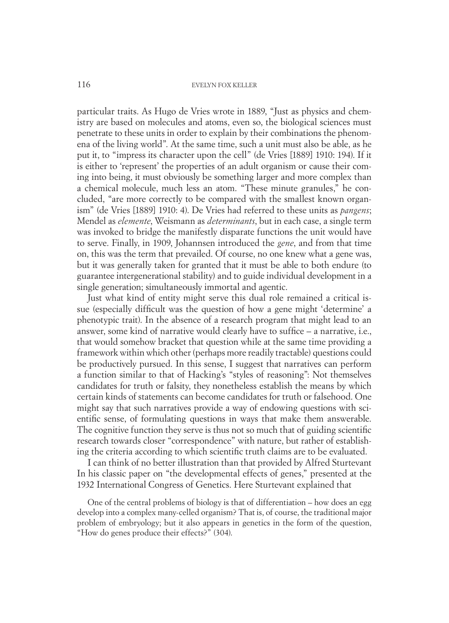#### 116 Evelyn Fox Keller

particular traits. As Hugo de Vries wrote in 1889, "Just as physics and chemistry are based on molecules and atoms, even so, the biological sciences must penetrate to these units in order to explain by their combinations the phenomena of the living world". At the same time, such a unit must also be able, as he put it, to "impress its character upon the cell" (de Vries [1889] 1910: 194). If it is either to 'represent' the properties of an adult organism or cause their coming into being, it must obviously be something larger and more complex than a chemical molecule, much less an atom. "These minute granules," he concluded, "are more correctly to be compared with the smallest known organism" (de Vries [1889] 1910: 4). De Vries had referred to these units as *pangens*; Mendel as *elemente*, Weismann as *determinants*, but in each case, a single term was invoked to bridge the manifestly disparate functions the unit would have to serve. Finally, in 1909, Johannsen introduced the *gene*, and from that time on, this was the term that prevailed. Of course, no one knew what a gene was, but it was generally taken for granted that it must be able to both endure (to guarantee intergenerational stability) and to guide individual development in a single generation; simultaneously immortal and agentic.

Just what kind of entity might serve this dual role remained a critical issue (especially difficult was the question of how a gene might 'determine' a phenotypic trait). In the absence of a research program that might lead to an answer, some kind of narrative would clearly have to suffice – a narrative, i.e., that would somehow bracket that question while at the same time providing a framework within which other (perhaps more readily tractable) questions could be productively pursued. In this sense, I suggest that narratives can perform a function similar to that of Hacking's "styles of reasoning": Not themselves candidates for truth or falsity, they nonetheless establish the means by which certain kinds of statements can become candidates for truth or falsehood. One might say that such narratives provide a way of endowing questions with scientific sense, of formulating questions in ways that make them answerable. The cognitive function they serve is thus not so much that of guiding scientific research towards closer "correspondence" with nature, but rather of establishing the criteria according to which scientific truth claims are to be evaluated.

I can think of no better illustration than that provided by Alfred Sturtevant In his classic paper on "the developmental effects of genes," presented at the 1932 International Congress of Genetics. Here Sturtevant explained that

One of the central problems of biology is that of differentiation – how does an egg develop into a complex many-celled organism? That is, of course, the traditional major problem of embryology; but it also appears in genetics in the form of the question, "How do genes produce their effects?" (304).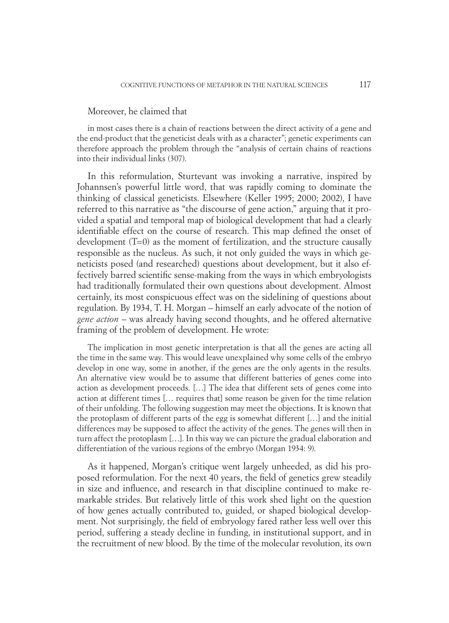### Moreover, he claimed that

in most cases there is a chain of reactions between the direct activity of a gene and the end-product that the geneticist deals with as a character"; genetic experiments can therefore approach the problem through the "analysis of certain chains of reactions into their individual links (307).

In this reformulation, Sturtevant was invoking a narrative, inspired by Johannsen's powerful little word, that was rapidly coming to dominate the thinking of classical geneticists. Elsewhere (Keller 1995; 2000; 2002), I have referred to this narrative as "the discourse of gene action," arguing that it provided a spatial and temporal map of biological development that had a clearly identifiable effect on the course of research. This map defined the onset of development (T=0) as the moment of fertilization, and the structure causally responsible as the nucleus. As such, it not only guided the ways in which geneticists posed (and researched) questions about development, but it also effectively barred scientific sense-making from the ways in which embryologists had traditionally formulated their own questions about development. Almost certainly, its most conspicuous effect was on the sidelining of questions about regulation. By 1934, T. H. Morgan – himself an early advocate of the notion of *gene action* – was already having second thoughts, and he offered alternative framing of the problem of development. He wrote:

The implication in most genetic interpretation is that all the genes are acting all the time in the same way. This would leave unexplained why some cells of the embryo develop in one way, some in another, if the genes are the only agents in the results. An alternative view would be to assume that different batteries of genes come into action as development proceeds. […] The idea that different sets of genes come into action at different times [… requires that] some reason be given for the time relation of their unfolding. The following suggestion may meet the objections. It is known that the protoplasm of different parts of the egg is somewhat different […] and the initial differences may be supposed to affect the activity of the genes. The genes will then in turn affect the protoplasm […]. In this way we can picture the gradual elaboration and differentiation of the various regions of the embryo (Morgan 1934: 9).

As it happened, Morgan's critique went largely unheeded, as did his proposed reformulation. For the next 40 years, the field of genetics grew steadily in size and influence, and research in that discipline continued to make remarkable strides. But relatively little of this work shed light on the question of how genes actually contributed to, guided, or shaped biological development. Not surprisingly, the field of embryology fared rather less well over this period, suffering a steady decline in funding, in institutional support, and in the recruitment of new blood. By the time of the molecular revolution, its own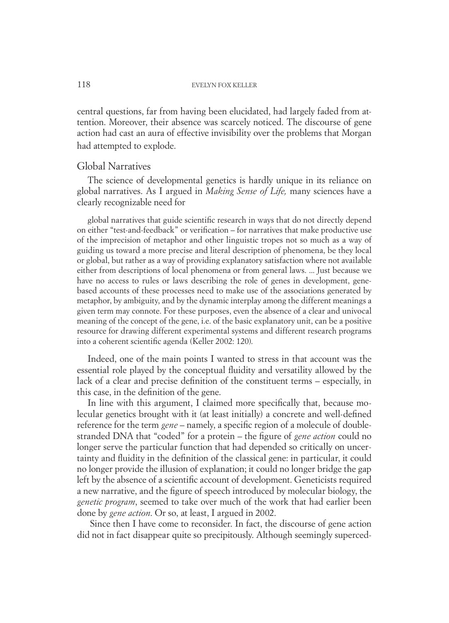central questions, far from having been elucidated, had largely faded from attention. Moreover, their absence was scarcely noticed. The discourse of gene action had cast an aura of effective invisibility over the problems that Morgan had attempted to explode.

### Global Narratives

The science of developmental genetics is hardly unique in its reliance on global narratives. As I argued in *Making Sense of Life,* many sciences have a clearly recognizable need for

global narratives that guide scientific research in ways that do not directly depend on either "test-and-feedback" or verification – for narratives that make productive use of the imprecision of metaphor and other linguistic tropes not so much as a way of guiding us toward a more precise and literal description of phenomena, be they local or global, but rather as a way of providing explanatory satisfaction where not available either from descriptions of local phenomena or from general laws. ... Just because we have no access to rules or laws describing the role of genes in development, genebased accounts of these processes need to make use of the associations generated by metaphor, by ambiguity, and by the dynamic interplay among the different meanings a given term may connote. For these purposes, even the absence of a clear and univocal meaning of the concept of the gene, i.e. of the basic explanatory unit, can be a positive resource for drawing different experimental systems and different research programs into a coherent scientific agenda (Keller 2002: 120).

Indeed, one of the main points I wanted to stress in that account was the essential role played by the conceptual fluidity and versatility allowed by the lack of a clear and precise definition of the constituent terms – especially, in this case, in the definition of the gene.

In line with this argument, I claimed more specifically that, because molecular genetics brought with it (at least initially) a concrete and well-defined reference for the term *gene* – namely, a specific region of a molecule of doublestranded DNA that "coded" for a protein – the figure of *gene action* could no longer serve the particular function that had depended so critically on uncertainty and fluidity in the definition of the classical gene: in particular, it could no longer provide the illusion of explanation; it could no longer bridge the gap left by the absence of a scientific account of development. Geneticists required a new narrative, and the figure of speech introduced by molecular biology, the *genetic program*, seemed to take over much of the work that had earlier been done by *gene action*. Or so, at least, I argued in 2002.

 Since then I have come to reconsider. In fact, the discourse of gene action did not in fact disappear quite so precipitously. Although seemingly superced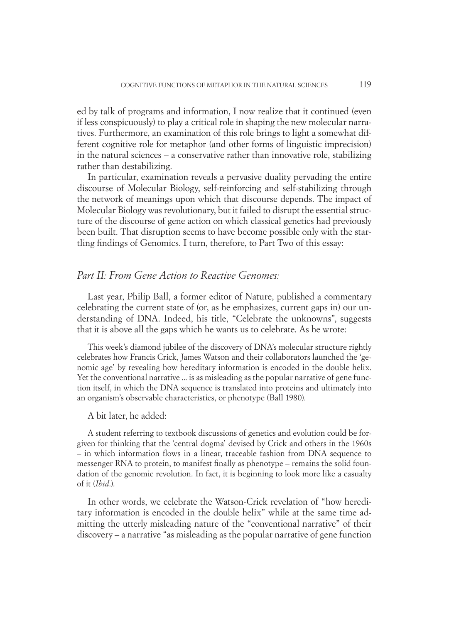ed by talk of programs and information, I now realize that it continued (even if less conspicuously) to play a critical role in shaping the new molecular narratives. Furthermore, an examination of this role brings to light a somewhat different cognitive role for metaphor (and other forms of linguistic imprecision) in the natural sciences – a conservative rather than innovative role, stabilizing rather than destabilizing.

In particular, examination reveals a pervasive duality pervading the entire discourse of Molecular Biology, self-reinforcing and self-stabilizing through the network of meanings upon which that discourse depends. The impact of Molecular Biology was revolutionary, but it failed to disrupt the essential structure of the discourse of gene action on which classical genetics had previously been built. That disruption seems to have become possible only with the startling findings of Genomics. I turn, therefore, to Part Two of this essay:

### *Part II: From Gene Action to Reactive Genomes:*

Last year, Philip Ball, a former editor of Nature, published a commentary celebrating the current state of (or, as he emphasizes, current gaps in) our understanding of DNA. Indeed, his title, "Celebrate the unknowns", suggests that it is above all the gaps which he wants us to celebrate. As he wrote:

This week's diamond jubilee of the discovery of DNA's molecular structure rightly celebrates how Francis Crick, James Watson and their collaborators launched the 'genomic age' by revealing how hereditary information is encoded in the double helix. Yet the conventional narrative ... is as misleading as the popular narrative of gene function itself, in which the DNA sequence is translated into proteins and ultimately into an organism's observable characteristics, or phenotype (Ball 1980).

#### A bit later, he added:

A student referring to textbook discussions of genetics and evolution could be forgiven for thinking that the 'central dogma' devised by Crick and others in the 1960s – in which information flows in a linear, traceable fashion from DNA sequence to messenger RNA to protein, to manifest finally as phenotype – remains the solid foundation of the genomic revolution. In fact, it is beginning to look more like a casualty of it (*Ibid*.).

In other words, we celebrate the Watson-Crick revelation of "how hereditary information is encoded in the double helix" while at the same time admitting the utterly misleading nature of the "conventional narrative" of their discovery – a narrative "as misleading as the popular narrative of gene function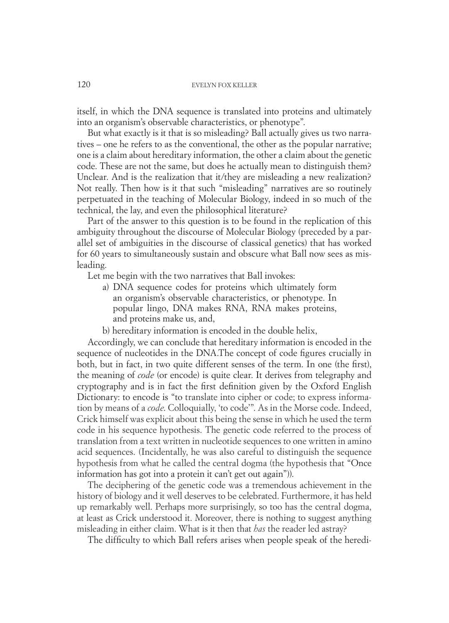itself, in which the DNA sequence is translated into proteins and ultimately into an organism's observable characteristics, or phenotype".

But what exactly is it that is so misleading? Ball actually gives us two narratives – one he refers to as the conventional, the other as the popular narrative; one is a claim about hereditary information, the other a claim about the genetic code. These are not the same, but does he actually mean to distinguish them? Unclear. And is the realization that it/they are misleading a new realization? Not really. Then how is it that such "misleading" narratives are so routinely perpetuated in the teaching of Molecular Biology, indeed in so much of the technical, the lay, and even the philosophical literature?

Part of the answer to this question is to be found in the replication of this ambiguity throughout the discourse of Molecular Biology (preceded by a parallel set of ambiguities in the discourse of classical genetics) that has worked for 60 years to simultaneously sustain and obscure what Ball now sees as misleading.

Let me begin with the two narratives that Ball invokes:

- a) DNA sequence codes for proteins which ultimately form an organism's observable characteristics, or phenotype. In popular lingo, DNA makes RNA, RNA makes proteins, and proteins make us, and,
- b) hereditary information is encoded in the double helix,

Accordingly, we can conclude that hereditary information is encoded in the sequence of nucleotides in the DNA.The concept of code figures crucially in both, but in fact, in two quite different senses of the term. In one (the first), the meaning of *code* (or encode) is quite clear. It derives from telegraphy and cryptography and is in fact the first definition given by the Oxford English Dictionary: to encode is "to translate into cipher or code; to express information by means of a *code*. Colloquially, 'to code'". As in the Morse code. Indeed, Crick himself was explicit about this being the sense in which he used the term code in his sequence hypothesis. The genetic code referred to the process of translation from a text written in nucleotide sequences to one written in amino acid sequences. (Incidentally, he was also careful to distinguish the sequence hypothesis from what he called the central dogma (the hypothesis that "Once information has got into a protein it can't get out again")).

The deciphering of the genetic code was a tremendous achievement in the history of biology and it well deserves to be celebrated. Furthermore, it has held up remarkably well. Perhaps more surprisingly, so too has the central dogma, at least as Crick understood it. Moreover, there is nothing to suggest anything misleading in either claim. What is it then that *has* the reader led astray?

The difficulty to which Ball refers arises when people speak of the heredi-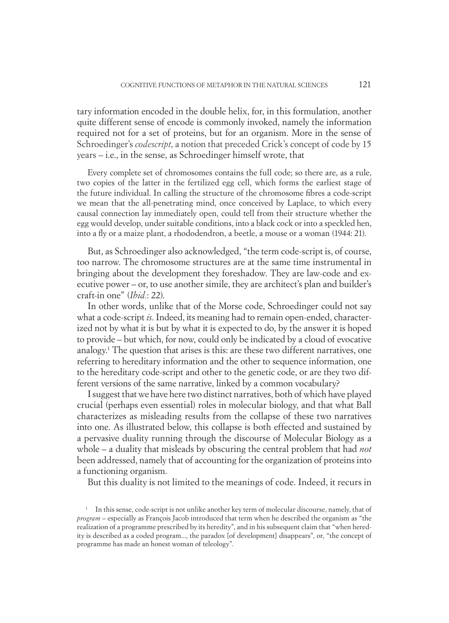tary information encoded in the double helix, for, in this formulation, another quite different sense of encode is commonly invoked, namely the information required not for a set of proteins, but for an organism. More in the sense of Schroedinger's *codescript*, a notion that preceded Crick's concept of code by 15 years – i.e., in the sense, as Schroedinger himself wrote, that

Every complete set of chromosomes contains the full code; so there are, as a rule, two copies of the latter in the fertilized egg cell, which forms the earliest stage of the future individual. In calling the structure of the chromosome fibres a code-script we mean that the all-penetrating mind, once conceived by Laplace, to which every causal connection lay immediately open, could tell from their structure whether the egg would develop, under suitable conditions, into a black cock or into a speckled hen, into a fly or a maize plant, a rhododendron, a beetle, a mouse or a woman (1944: 21).

But, as Schroedinger also acknowledged, "the term code-script is, of course, too narrow. The chromosome structures are at the same time instrumental in bringing about the development they foreshadow. They are law-code and executive power – or, to use another simile, they are architect's plan and builder's craft-in one" (*Ibid.*: 22).

In other words, unlike that of the Morse code, Schroedinger could not say what a code-script *is*. Indeed, its meaning had to remain open-ended, characterized not by what it is but by what it is expected to do, by the answer it is hoped to provide – but which, for now, could only be indicated by a cloud of evocative analogy.1 The question that arises is this: are these two different narratives, one referring to hereditary information and the other to sequence information, one to the hereditary code-script and other to the genetic code, or are they two different versions of the same narrative, linked by a common vocabulary?

I suggest that we have here two distinct narratives, both of which have played crucial (perhaps even essential) roles in molecular biology, and that what Ball characterizes as misleading results from the collapse of these two narratives into one. As illustrated below, this collapse is both effected and sustained by a pervasive duality running through the discourse of Molecular Biology as a whole – a duality that misleads by obscuring the central problem that had *not* been addressed, namely that of accounting for the organization of proteins into a functioning organism.

But this duality is not limited to the meanings of code. Indeed, it recurs in

<sup>&</sup>lt;sup>1</sup> In this sense, code-script is not unlike another key term of molecular discourse, namely, that of *program* – especially as François Jacob introduced that term when he described the organism as "the realization of a programme prescribed by its heredity", and in his subsequent claim that "when heredity is described as a coded program..., the paradox [of development] disappears", or, "the concept of programme has made an honest woman of teleology".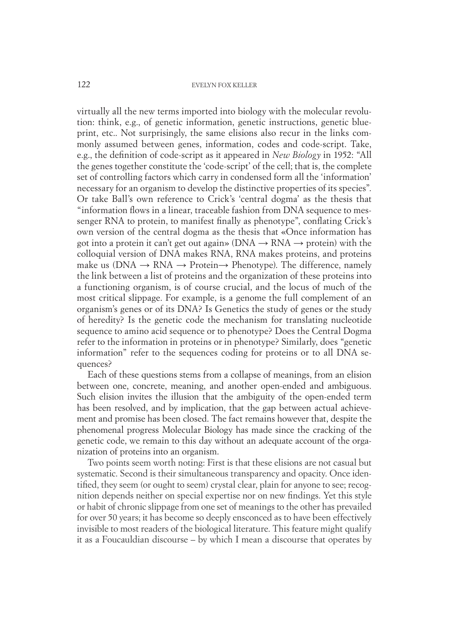virtually all the new terms imported into biology with the molecular revolution: think, e.g., of genetic information, genetic instructions, genetic blueprint, etc.. Not surprisingly, the same elisions also recur in the links commonly assumed between genes, information, codes and code-script. Take, e.g., the definition of code-script as it appeared in *New Biology* in 1952: "All the genes together constitute the 'code-script' of the cell; that is, the complete set of controlling factors which carry in condensed form all the 'information' necessary for an organism to develop the distinctive properties of its species". Or take Ball's own reference to Crick's 'central dogma' as the thesis that "information flows in a linear, traceable fashion from DNA sequence to messenger RNA to protein, to manifest finally as phenotype", conflating Crick's own version of the central dogma as the thesis that «Once information has got into a protein it can't get out again» ( $DNA \rightarrow RNA \rightarrow protein$ ) with the colloquial version of DNA makes RNA, RNA makes proteins, and proteins make us (DNA  $\rightarrow$  RNA  $\rightarrow$  Protein $\rightarrow$  Phenotype). The difference, namely the link between a list of proteins and the organization of these proteins into a functioning organism, is of course crucial, and the locus of much of the most critical slippage. For example, is a genome the full complement of an organism's genes or of its DNA? Is Genetics the study of genes or the study of heredity? Is the genetic code the mechanism for translating nucleotide sequence to amino acid sequence or to phenotype? Does the Central Dogma refer to the information in proteins or in phenotype? Similarly, does "genetic information" refer to the sequences coding for proteins or to all DNA sequences?

Each of these questions stems from a collapse of meanings, from an elision between one, concrete, meaning, and another open-ended and ambiguous. Such elision invites the illusion that the ambiguity of the open-ended term has been resolved, and by implication, that the gap between actual achievement and promise has been closed. The fact remains however that, despite the phenomenal progress Molecular Biology has made since the cracking of the genetic code, we remain to this day without an adequate account of the organization of proteins into an organism.

Two points seem worth noting: First is that these elisions are not casual but systematic. Second is their simultaneous transparency and opacity. Once identified, they seem (or ought to seem) crystal clear, plain for anyone to see; recognition depends neither on special expertise nor on new findings. Yet this style or habit of chronic slippage from one set of meanings to the other has prevailed for over 50 years; it has become so deeply ensconced as to have been effectively invisible to most readers of the biological literature. This feature might qualify it as a Foucauldian discourse – by which I mean a discourse that operates by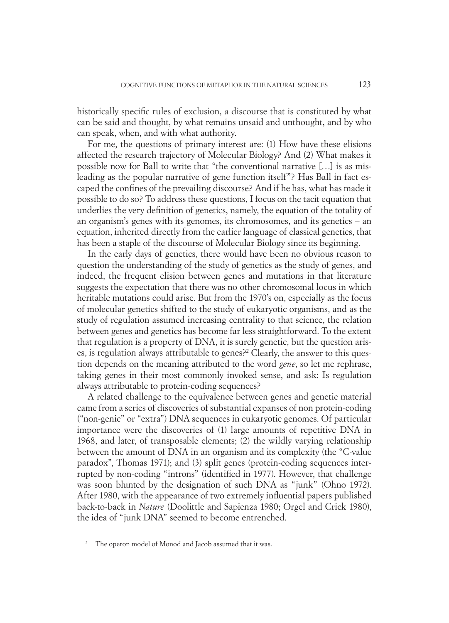historically specific rules of exclusion, a discourse that is constituted by what can be said and thought, by what remains unsaid and unthought, and by who can speak, when, and with what authority.

For me, the questions of primary interest are: (1) How have these elisions affected the research trajectory of Molecular Biology? And (2) What makes it possible now for Ball to write that "the conventional narrative […] is as misleading as the popular narrative of gene function itself"? Has Ball in fact escaped the confines of the prevailing discourse? And if he has, what has made it possible to do so? To address these questions, I focus on the tacit equation that underlies the very definition of genetics, namely, the equation of the totality of an organism's genes with its genomes, its chromosomes, and its genetics – an equation, inherited directly from the earlier language of classical genetics, that has been a staple of the discourse of Molecular Biology since its beginning.

In the early days of genetics, there would have been no obvious reason to question the understanding of the study of genetics as the study of genes, and indeed, the frequent elision between genes and mutations in that literature suggests the expectation that there was no other chromosomal locus in which heritable mutations could arise. But from the 1970's on, especially as the focus of molecular genetics shifted to the study of eukaryotic organisms, and as the study of regulation assumed increasing centrality to that science, the relation between genes and genetics has become far less straightforward. To the extent that regulation is a property of DNA, it is surely genetic, but the question arises, is regulation always attributable to genes?<sup>2</sup> Clearly, the answer to this question depends on the meaning attributed to the word *gene*, so let me rephrase, taking genes in their most commonly invoked sense, and ask: Is regulation always attributable to protein-coding sequences?

A related challenge to the equivalence between genes and genetic material came from a series of discoveries of substantial expanses of non protein-coding ("non-genic" or "extra") DNA sequences in eukaryotic genomes. Of particular importance were the discoveries of (1) large amounts of repetitive DNA in 1968, and later, of transposable elements; (2) the wildly varying relationship between the amount of DNA in an organism and its complexity (the "C-value paradox", Thomas 1971); and (3) split genes (protein-coding sequences interrupted by non-coding "introns" (identified in 1977). However, that challenge was soon blunted by the designation of such DNA as "junk" (Ohno 1972). After 1980, with the appearance of two extremely influential papers published back-to-back in *Nature* (Doolittle and Sapienza 1980; Orgel and Crick 1980), the idea of "junk DNA" seemed to become entrenched.

The operon model of Monod and Jacob assumed that it was.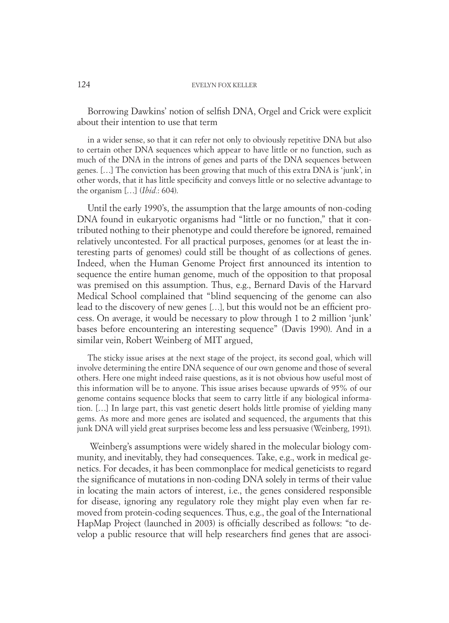Borrowing Dawkins' notion of selfish DNA, Orgel and Crick were explicit about their intention to use that term

in a wider sense, so that it can refer not only to obviously repetitive DNA but also to certain other DNA sequences which appear to have little or no function, such as much of the DNA in the introns of genes and parts of the DNA sequences between genes. […] The conviction has been growing that much of this extra DNA is 'junk', in other words, that it has little specificity and conveys little or no selective advantage to the organism […] (*Ibid.*: 604).

Until the early 1990's, the assumption that the large amounts of non-coding DNA found in eukaryotic organisms had "little or no function," that it contributed nothing to their phenotype and could therefore be ignored, remained relatively uncontested. For all practical purposes, genomes (or at least the interesting parts of genomes) could still be thought of as collections of genes. Indeed, when the Human Genome Project first announced its intention to sequence the entire human genome, much of the opposition to that proposal was premised on this assumption. Thus, e.g., Bernard Davis of the Harvard Medical School complained that "blind sequencing of the genome can also lead to the discovery of new genes […], but this would not be an efficient process. On average, it would be necessary to plow through 1 to 2 million 'junk' bases before encountering an interesting sequence" (Davis 1990). And in a similar vein, Robert Weinberg of MIT argued,

The sticky issue arises at the next stage of the project, its second goal, which will involve determining the entire DNA sequence of our own genome and those of several others. Here one might indeed raise questions, as it is not obvious how useful most of this information will be to anyone. This issue arises because upwards of 95% of our genome contains sequence blocks that seem to carry little if any biological information. […] In large part, this vast genetic desert holds little promise of yielding many gems. As more and more genes are isolated and sequenced, the arguments that this junk DNA will yield great surprises become less and less persuasive (Weinberg, 1991).

 Weinberg's assumptions were widely shared in the molecular biology community, and inevitably, they had consequences. Take, e.g., work in medical genetics. For decades, it has been commonplace for medical geneticists to regard the significance of mutations in non-coding DNA solely in terms of their value in locating the main actors of interest, i.e., the genes considered responsible for disease, ignoring any regulatory role they might play even when far removed from protein-coding sequences. Thus, e.g., the goal of the International HapMap Project (launched in 2003) is officially described as follows: "to develop a public resource that will help researchers find genes that are associ-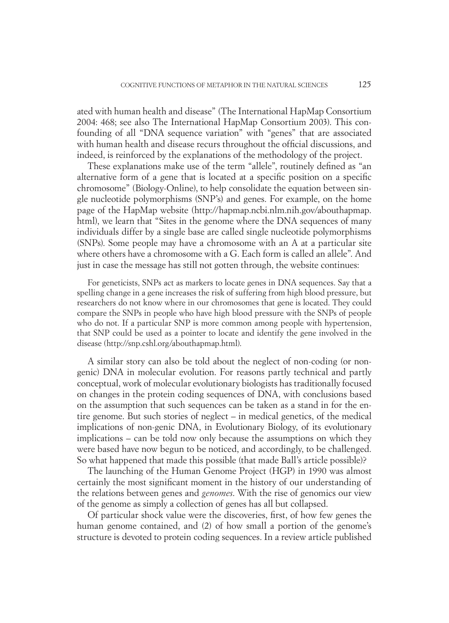ated with human health and disease" (The International HapMap Consortium 2004: 468; see also The International HapMap Consortium 2003). This confounding of all "DNA sequence variation" with "genes" that are associated with human health and disease recurs throughout the official discussions, and indeed, is reinforced by the explanations of the methodology of the project.

These explanations make use of the term "allele", routinely defined as "an alternative form of a gene that is located at a specific position on a specific chromosome" (Biology-Online), to help consolidate the equation between single nucleotide polymorphisms (SNP's) and genes. For example, on the home page of the HapMap website (http://hapmap.ncbi.nlm.nih.gov/abouthapmap. html), we learn that "Sites in the genome where the DNA sequences of many individuals differ by a single base are called single nucleotide polymorphisms (SNPs). Some people may have a chromosome with an A at a particular site where others have a chromosome with a G. Each form is called an allele". And just in case the message has still not gotten through, the website continues:

For geneticists, SNPs act as markers to locate genes in DNA sequences. Say that a spelling change in a gene increases the risk of suffering from high blood pressure, but researchers do not know where in our chromosomes that gene is located. They could compare the SNPs in people who have high blood pressure with the SNPs of people who do not. If a particular SNP is more common among people with hypertension, that SNP could be used as a pointer to locate and identify the gene involved in the disease (http://snp.cshl.org/abouthapmap.html).

A similar story can also be told about the neglect of non-coding (or nongenic) DNA in molecular evolution. For reasons partly technical and partly conceptual, work of molecular evolutionary biologists has traditionally focused on changes in the protein coding sequences of DNA, with conclusions based on the assumption that such sequences can be taken as a stand in for the entire genome. But such stories of neglect – in medical genetics, of the medical implications of non-genic DNA, in Evolutionary Biology, of its evolutionary implications – can be told now only because the assumptions on which they were based have now begun to be noticed, and accordingly, to be challenged. So what happened that made this possible (that made Ball's article possible)?

The launching of the Human Genome Project (HGP) in 1990 was almost certainly the most significant moment in the history of our understanding of the relations between genes and *genomes*. With the rise of genomics our view of the genome as simply a collection of genes has all but collapsed.

Of particular shock value were the discoveries, first, of how few genes the human genome contained, and (2) of how small a portion of the genome's structure is devoted to protein coding sequences. In a review article published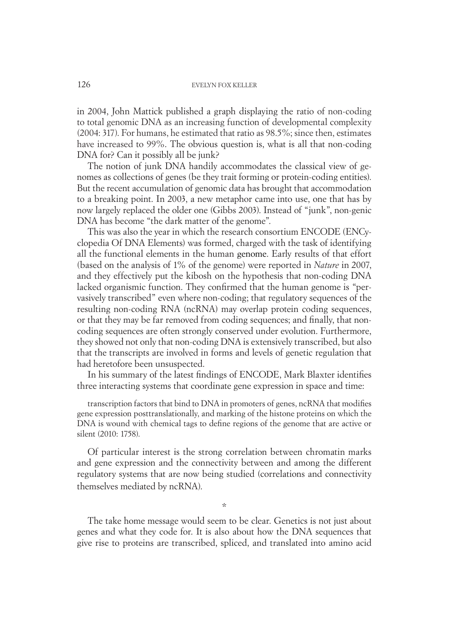in 2004, John Mattick published a graph displaying the ratio of non-coding to total genomic DNA as an increasing function of developmental complexity (2004: 317). For humans, he estimated that ratio as 98.5%; since then, estimates have increased to 99%. The obvious question is, what is all that non-coding DNA for? Can it possibly all be junk?

The notion of junk DNA handily accommodates the classical view of genomes as collections of genes (be they trait forming or protein-coding entities). But the recent accumulation of genomic data has brought that accommodation to a breaking point. In 2003, a new metaphor came into use, one that has by now largely replaced the older one (Gibbs 2003). Instead of "junk", non-genic DNA has become "the dark matter of the genome".

This was also the year in which the research consortium ENCODE (ENCyclopedia Of DNA Elements) was formed, charged with the task of identifying all the functional elements in the human genome. Early results of that effort (based on the analysis of 1% of the genome) were reported in *Nature* in 2007, and they effectively put the kibosh on the hypothesis that non-coding DNA lacked organismic function. They confirmed that the human genome is "pervasively transcribed" even where non-coding; that regulatory sequences of the resulting non-coding RNA (ncRNA) may overlap protein coding sequences, or that they may be far removed from coding sequences; and finally, that noncoding sequences are often strongly conserved under evolution. Furthermore, they showed not only that non-coding DNA is extensively transcribed, but also that the transcripts are involved in forms and levels of genetic regulation that had heretofore been unsuspected.

In his summary of the latest findings of ENCODE, Mark Blaxter identifies three interacting systems that coordinate gene expression in space and time:

transcription factors that bind to DNA in promoters of genes, ncRNA that modifies gene expression posttranslationally, and marking of the histone proteins on which the DNA is wound with chemical tags to define regions of the genome that are active or silent (2010: 1758).

Of particular interest is the strong correlation between chromatin marks and gene expression and the connectivity between and among the different regulatory systems that are now being studied (correlations and connectivity themselves mediated by ncRNA).

\*

The take home message would seem to be clear. Genetics is not just about genes and what they code for. It is also about how the DNA sequences that give rise to proteins are transcribed, spliced, and translated into amino acid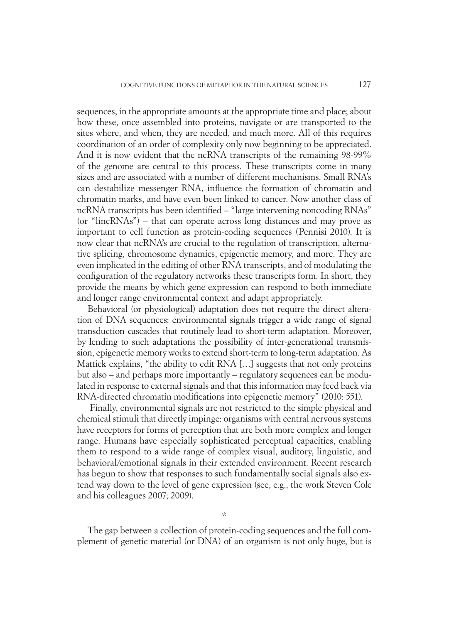sequences, in the appropriate amounts at the appropriate time and place; about how these, once assembled into proteins, navigate or are transported to the sites where, and when, they are needed, and much more. All of this requires coordination of an order of complexity only now beginning to be appreciated. And it is now evident that the ncRNA transcripts of the remaining 98-99% of the genome are central to this process. These transcripts come in many sizes and are associated with a number of different mechanisms. Small RNA's can destabilize messenger RNA, influence the formation of chromatin and chromatin marks, and have even been linked to cancer. Now another class of ncRNA transcripts has been identified – "large intervening noncoding RNAs" (or "lincRNAs") – that can operate across long distances and may prove as important to cell function as protein-coding sequences (Pennisi 2010). It is now clear that ncRNA's are crucial to the regulation of transcription, alternative splicing, chromosome dynamics, epigenetic memory, and more. They are even implicated in the editing of other RNA transcripts, and of modulating the configuration of the regulatory networks these transcripts form. In short, they provide the means by which gene expression can respond to both immediate and longer range environmental context and adapt appropriately.

Behavioral (or physiological) adaptation does not require the direct alteration of DNA sequences: environmental signals trigger a wide range of signal transduction cascades that routinely lead to short-term adaptation. Moreover, by lending to such adaptations the possibility of inter-generational transmission, epigenetic memory works to extend short-term to long-term adaptation. As Mattick explains, "the ability to edit RNA […] suggests that not only proteins but also – and perhaps more importantly – regulatory sequences can be modulated in response to external signals and that this information may feed back via RNA-directed chromatin modifications into epigenetic memory" (2010: 551).

Finally, environmental signals are not restricted to the simple physical and chemical stimuli that directly impinge: organisms with central nervous systems have receptors for forms of perception that are both more complex and longer range. Humans have especially sophisticated perceptual capacities, enabling them to respond to a wide range of complex visual, auditory, linguistic, and behavioral/emotional signals in their extended environment. Recent research has begun to show that responses to such fundamentally social signals also extend way down to the level of gene expression (see, e.g., the work Steven Cole and his colleagues 2007; 2009).

The gap between a collection of protein-coding sequences and the full complement of genetic material (or DNA) of an organism is not only huge, but is

\*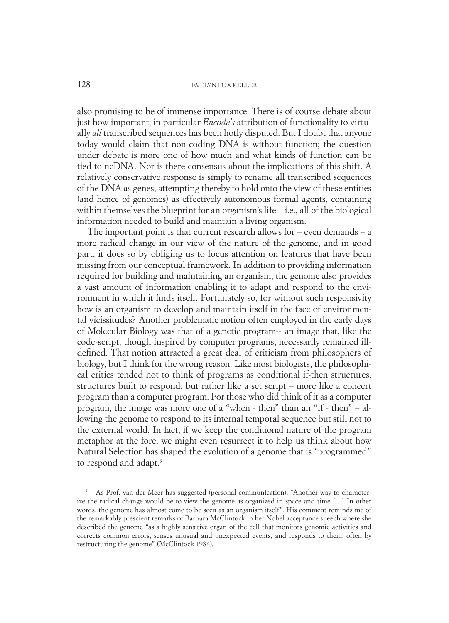also promising to be of immense importance. There is of course debate about just how important; in particular *Encode's* attribution of functionality to virtually *all* transcribed sequences has been hotly disputed. But I doubt that anyone today would claim that non-coding DNA is without function; the question under debate is more one of how much and what kinds of function can be tied to ncDNA. Nor is there consensus about the implications of this shift. A relatively conservative response is simply to rename all transcribed sequences of the DNA as genes, attempting thereby to hold onto the view of these entities (and hence of genomes) as effectively autonomous formal agents, containing within themselves the blueprint for an organism's life – i.e., all of the biological information needed to build and maintain a living organism.

The important point is that current research allows for – even demands – a more radical change in our view of the nature of the genome, and in good part, it does so by obliging us to focus attention on features that have been missing from our conceptual framework. In addition to providing information required for building and maintaining an organism, the genome also provides a vast amount of information enabling it to adapt and respond to the environment in which it finds itself. Fortunately so, for without such responsivity how is an organism to develop and maintain itself in the face of environmental vicissitudes? Another problematic notion often employed in the early days of Molecular Biology was that of a genetic program-- an image that, like the code-script, though inspired by computer programs, necessarily remained illdefined. That notion attracted a great deal of criticism from philosophers of biology, but I think for the wrong reason. Like most biologists, the philosophical critics tended not to think of programs as conditional if-then structures, structures built to respond, but rather like a set script – more like a concert program than a computer program. For those who did think of it as a computer program, the image was more one of a "when - then" than an "if - then"  $-$  allowing the genome to respond to its internal temporal sequence but still not to the external world. In fact, if we keep the conditional nature of the program metaphor at the fore, we might even resurrect it to help us think about how Natural Selection has shaped the evolution of a genome that is "programmed" to respond and adapt.<sup>3</sup>

<sup>&</sup>lt;sup>3</sup> As Prof. van der Meer has suggested (personal communication), "Another way to characterize the radical change would be to view the genome as organized in space and time […] In other words, the genome has almost come to be seen as an organism itself". His comment reminds me of the remarkably prescient remarks of Barbara McClintock in her Nobel acceptance speech where she described the genome "as a highly sensitive organ of the cell that monitors genomic activities and corrects common errors, senses unusual and unexpected events, and responds to them, often by restructuring the genome" (McClintock 1984).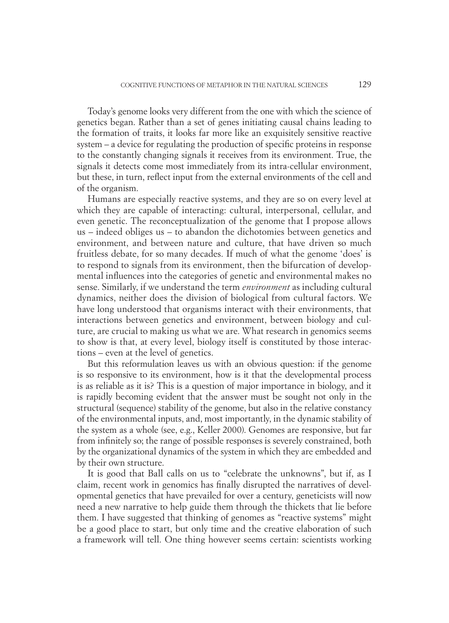Today's genome looks very different from the one with which the science of genetics began. Rather than a set of genes initiating causal chains leading to the formation of traits, it looks far more like an exquisitely sensitive reactive system – a device for regulating the production of specific proteins in response to the constantly changing signals it receives from its environment. True, the signals it detects come most immediately from its intra-cellular environment, but these, in turn, reflect input from the external environments of the cell and of the organism.

Humans are especially reactive systems, and they are so on every level at which they are capable of interacting: cultural, interpersonal, cellular, and even genetic. The reconceptualization of the genome that I propose allows us – indeed obliges us – to abandon the dichotomies between genetics and environment, and between nature and culture, that have driven so much fruitless debate, for so many decades. If much of what the genome 'does' is to respond to signals from its environment, then the bifurcation of developmental influences into the categories of genetic and environmental makes no sense. Similarly, if we understand the term *environment* as including cultural dynamics, neither does the division of biological from cultural factors. We have long understood that organisms interact with their environments, that interactions between genetics and environment, between biology and culture, are crucial to making us what we are. What research in genomics seems to show is that, at every level, biology itself is constituted by those interactions – even at the level of genetics.

But this reformulation leaves us with an obvious question: if the genome is so responsive to its environment, how is it that the developmental process is as reliable as it is? This is a question of major importance in biology, and it is rapidly becoming evident that the answer must be sought not only in the structural (sequence) stability of the genome, but also in the relative constancy of the environmental inputs, and, most importantly, in the dynamic stability of the system as a whole (see, e.g., Keller 2000). Genomes are responsive, but far from infinitely so; the range of possible responses is severely constrained, both by the organizational dynamics of the system in which they are embedded and by their own structure.

It is good that Ball calls on us to "celebrate the unknowns", but if, as I claim, recent work in genomics has finally disrupted the narratives of developmental genetics that have prevailed for over a century, geneticists will now need a new narrative to help guide them through the thickets that lie before them. I have suggested that thinking of genomes as "reactive systems" might be a good place to start, but only time and the creative elaboration of such a framework will tell. One thing however seems certain: scientists working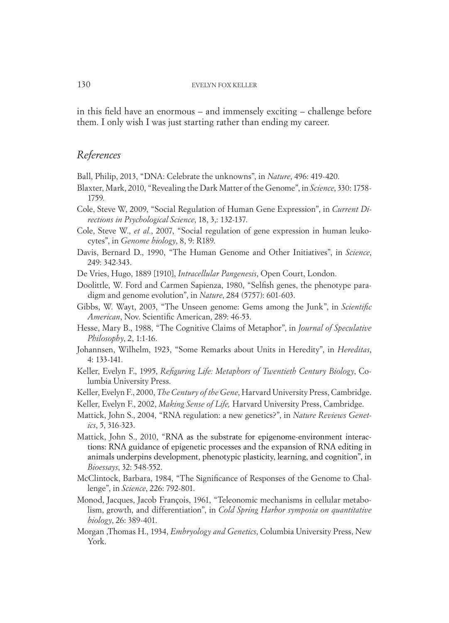### 130 Evelyn Fox Keller

in this field have an enormous – and immensely exciting – challenge before them. I only wish I was just starting rather than ending my career.

## *References*

- Ball, Philip, 2013, "DNA: Celebrate the unknowns", in *Nature*, 496: 419-420.
- Blaxter, Mark, 2010, "Revealing the Dark Matter of the Genome", in *Science*, 330: 1758- 1759.
- Cole, Steve W, 2009, "Social Regulation of Human Gene Expression", in *Current Directions in Psychological Science*, 18, 3,: 132-137.
- Cole, Steve W., *et al.*, 2007, "Social regulation of gene expression in human leukocytes", in *Genome biology*, 8, 9: R189.
- Davis, Bernard D., 1990, "The Human Genome and Other Initiatives", in *Science*, 249: 342-343.
- De Vries, Hugo, 1889 [1910], *Intracellular Pangenesis*, Open Court, London.
- Doolittle, W. Ford and Carmen Sapienza, 1980, "Selfish genes, the phenotype paradigm and genome evolution", in *Nature*, 284 (5757): 601-603.
- Gibbs, W. Wayt, 2003, "The Unseen genome: Gems among the Junk", in *Scientific American*, Nov. Scientific American, 289: 46-53.

Hesse, Mary B., 1988, "The Cognitive Claims of Metaphor", in *Journal of Speculative Philosophy*, 2, 1:1-16.

- Johannsen, Wilhelm, 1923, "Some Remarks about Units in Heredity", in *Hereditas*, 4: 133-141.
- Keller, Evelyn F., 1995, *Refiguring Life: Metaphors of Twentieth Century Biology*, Columbia University Press.
- Keller, Evelyn F., 2000, *The Century of the Gene*, Harvard University Press, Cambridge.
- Keller, Evelyn F., 2002, *Making Sense of Life,* Harvard University Press, Cambridge.
- Mattick, John S., 2004, "RNA regulation: a new genetics?", in *Nature Reviews Genetics*, 5, 316-323.
- Mattick, John S., 2010, "RNA as the substrate for epigenome-environment interactions: RNA guidance of epigenetic processes and the expansion of RNA editing in animals underpins development, phenotypic plasticity, learning, and cognition", in *Bioessays*, 32: 548-552.
- McClintock, Barbara, 1984, "The Significance of Responses of the Genome to Challenge", in *Science*, 226: 792-801.
- Monod, Jacques, Jacob François, 1961, "Teleonomic mechanisms in cellular metabolism, growth, and differentiation", in *Cold Spring Harbor symposia on quantitative biology*, 26: 389-401.
- Morgan ,Thomas H., 1934, *Embryology and Genetics*, Columbia University Press, New York.